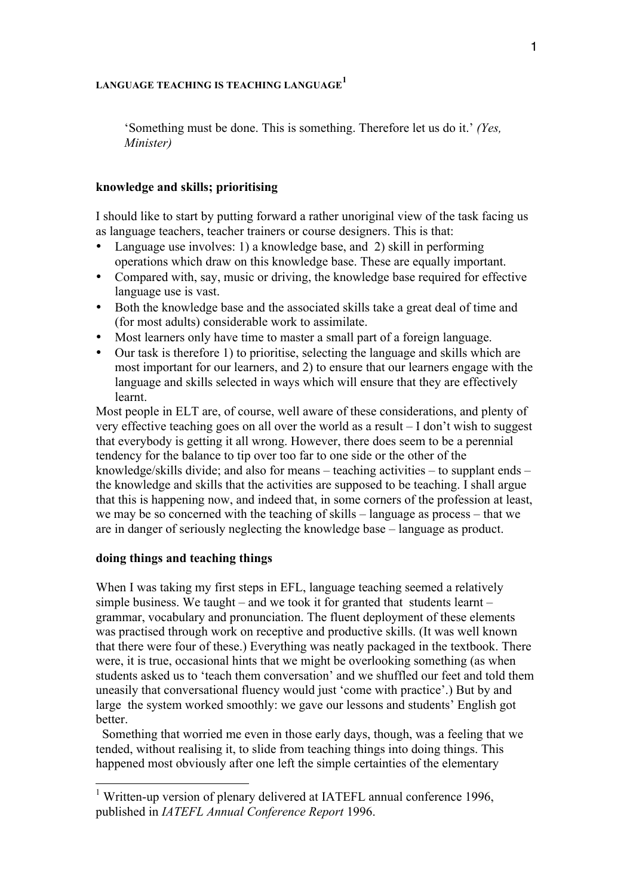# **LANGUAGE TEACHING IS TEACHING LANGUAGE<sup>1</sup>**

'Something must be done. This is something. Therefore let us do it.' *(Yes, Minister)*

# **knowledge and skills; prioritising**

I should like to start by putting forward a rather unoriginal view of the task facing us as language teachers, teacher trainers or course designers. This is that:

- Language use involves: 1) a knowledge base, and 2) skill in performing operations which draw on this knowledge base. These are equally important.
- Compared with, say, music or driving, the knowledge base required for effective language use is vast.
- Both the knowledge base and the associated skills take a great deal of time and (for most adults) considerable work to assimilate.
- Most learners only have time to master a small part of a foreign language.
- Our task is therefore 1) to prioritise, selecting the language and skills which are most important for our learners, and 2) to ensure that our learners engage with the language and skills selected in ways which will ensure that they are effectively learnt.

Most people in ELT are, of course, well aware of these considerations, and plenty of very effective teaching goes on all over the world as a result – I don't wish to suggest that everybody is getting it all wrong. However, there does seem to be a perennial tendency for the balance to tip over too far to one side or the other of the knowledge/skills divide; and also for means – teaching activities – to supplant ends – the knowledge and skills that the activities are supposed to be teaching. I shall argue that this is happening now, and indeed that, in some corners of the profession at least, we may be so concerned with the teaching of skills – language as process – that we are in danger of seriously neglecting the knowledge base – language as product.

## **doing things and teaching things**

When I was taking my first steps in EFL, language teaching seemed a relatively simple business. We taught – and we took it for granted that students learnt – grammar, vocabulary and pronunciation. The fluent deployment of these elements was practised through work on receptive and productive skills. (It was well known that there were four of these.) Everything was neatly packaged in the textbook. There were, it is true, occasional hints that we might be overlooking something (as when students asked us to 'teach them conversation' and we shuffled our feet and told them uneasily that conversational fluency would just 'come with practice'.) But by and large the system worked smoothly: we gave our lessons and students' English got **better** 

 Something that worried me even in those early days, though, was a feeling that we tended, without realising it, to slide from teaching things into doing things. This happened most obviously after one left the simple certainties of the elementary

<sup>&</sup>lt;sup>1</sup> Written-up version of plenary delivered at IATEFL annual conference 1996, published in *IATEFL Annual Conference Report* 1996.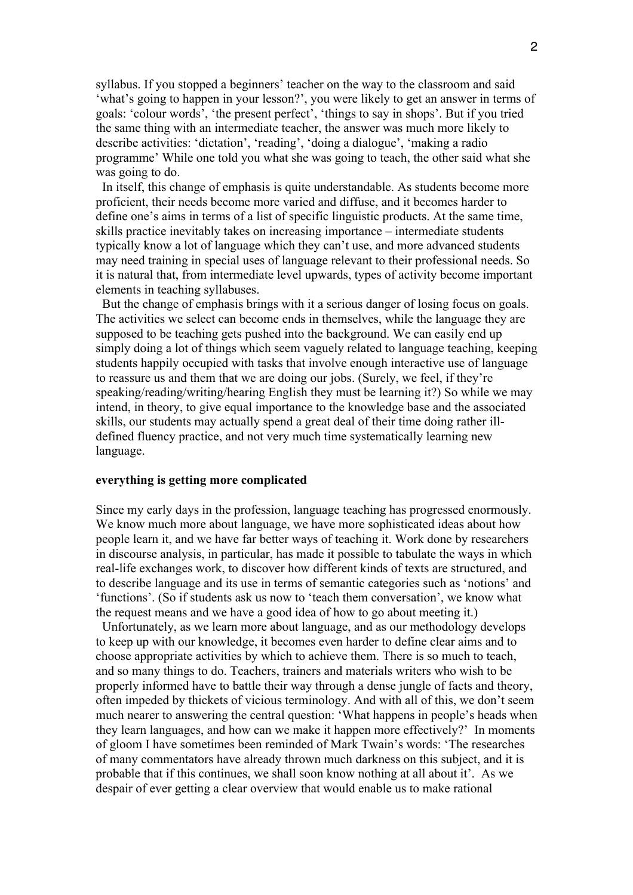syllabus. If you stopped a beginners' teacher on the way to the classroom and said 'what's going to happen in your lesson?', you were likely to get an answer in terms of goals: 'colour words', 'the present perfect', 'things to say in shops'. But if you tried the same thing with an intermediate teacher, the answer was much more likely to describe activities: 'dictation', 'reading', 'doing a dialogue', 'making a radio programme' While one told you what she was going to teach, the other said what she was going to do.

 In itself, this change of emphasis is quite understandable. As students become more proficient, their needs become more varied and diffuse, and it becomes harder to define one's aims in terms of a list of specific linguistic products. At the same time, skills practice inevitably takes on increasing importance – intermediate students typically know a lot of language which they can't use, and more advanced students may need training in special uses of language relevant to their professional needs. So it is natural that, from intermediate level upwards, types of activity become important elements in teaching syllabuses.

 But the change of emphasis brings with it a serious danger of losing focus on goals. The activities we select can become ends in themselves, while the language they are supposed to be teaching gets pushed into the background. We can easily end up simply doing a lot of things which seem vaguely related to language teaching, keeping students happily occupied with tasks that involve enough interactive use of language to reassure us and them that we are doing our jobs. (Surely, we feel, if they're speaking/reading/writing/hearing English they must be learning it?) So while we may intend, in theory, to give equal importance to the knowledge base and the associated skills, our students may actually spend a great deal of their time doing rather illdefined fluency practice, and not very much time systematically learning new language.

## **everything is getting more complicated**

Since my early days in the profession, language teaching has progressed enormously. We know much more about language, we have more sophisticated ideas about how people learn it, and we have far better ways of teaching it. Work done by researchers in discourse analysis, in particular, has made it possible to tabulate the ways in which real-life exchanges work, to discover how different kinds of texts are structured, and to describe language and its use in terms of semantic categories such as 'notions' and 'functions'. (So if students ask us now to 'teach them conversation', we know what the request means and we have a good idea of how to go about meeting it.)

 Unfortunately, as we learn more about language, and as our methodology develops to keep up with our knowledge, it becomes even harder to define clear aims and to choose appropriate activities by which to achieve them. There is so much to teach, and so many things to do. Teachers, trainers and materials writers who wish to be properly informed have to battle their way through a dense jungle of facts and theory, often impeded by thickets of vicious terminology. And with all of this, we don't seem much nearer to answering the central question: 'What happens in people's heads when they learn languages, and how can we make it happen more effectively?' In moments of gloom I have sometimes been reminded of Mark Twain's words: 'The researches of many commentators have already thrown much darkness on this subject, and it is probable that if this continues, we shall soon know nothing at all about it'. As we despair of ever getting a clear overview that would enable us to make rational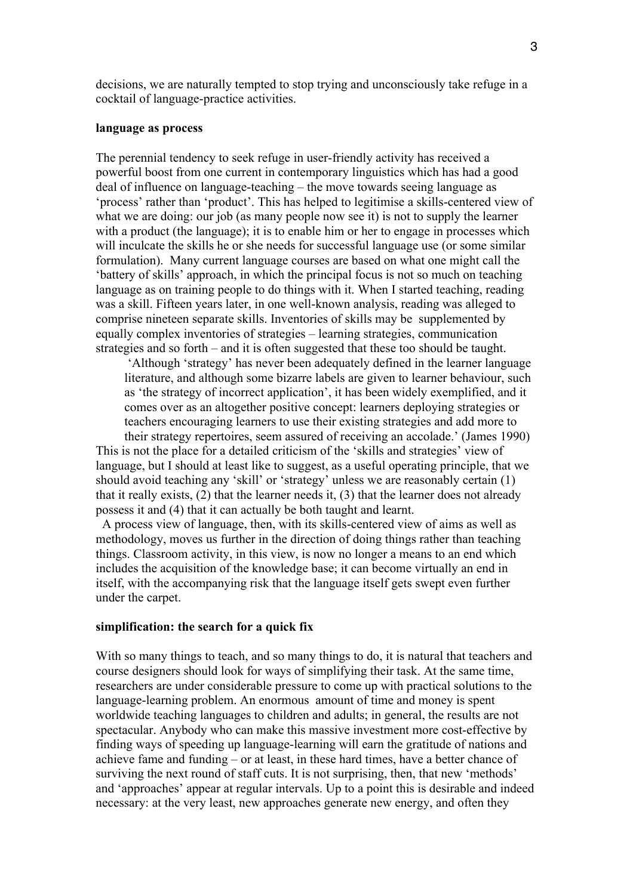decisions, we are naturally tempted to stop trying and unconsciously take refuge in a cocktail of language-practice activities.

#### **language as process**

The perennial tendency to seek refuge in user-friendly activity has received a powerful boost from one current in contemporary linguistics which has had a good deal of influence on language-teaching – the move towards seeing language as 'process' rather than 'product'. This has helped to legitimise a skills-centered view of what we are doing: our job (as many people now see it) is not to supply the learner with a product (the language); it is to enable him or her to engage in processes which will inculcate the skills he or she needs for successful language use (or some similar formulation). Many current language courses are based on what one might call the 'battery of skills' approach, in which the principal focus is not so much on teaching language as on training people to do things with it. When I started teaching, reading was a skill. Fifteen years later, in one well-known analysis, reading was alleged to comprise nineteen separate skills. Inventories of skills may be supplemented by equally complex inventories of strategies – learning strategies, communication strategies and so forth – and it is often suggested that these too should be taught.

'Although 'strategy' has never been adequately defined in the learner language literature, and although some bizarre labels are given to learner behaviour, such as 'the strategy of incorrect application', it has been widely exemplified, and it comes over as an altogether positive concept: learners deploying strategies or teachers encouraging learners to use their existing strategies and add more to their strategy repertoires, seem assured of receiving an accolade.' (James 1990)

This is not the place for a detailed criticism of the 'skills and strategies' view of language, but I should at least like to suggest, as a useful operating principle, that we should avoid teaching any 'skill' or 'strategy' unless we are reasonably certain (1) that it really exists, (2) that the learner needs it, (3) that the learner does not already possess it and (4) that it can actually be both taught and learnt.

 A process view of language, then, with its skills-centered view of aims as well as methodology, moves us further in the direction of doing things rather than teaching things. Classroom activity, in this view, is now no longer a means to an end which includes the acquisition of the knowledge base; it can become virtually an end in itself, with the accompanying risk that the language itself gets swept even further under the carpet.

### **simplification: the search for a quick fix**

With so many things to teach, and so many things to do, it is natural that teachers and course designers should look for ways of simplifying their task. At the same time, researchers are under considerable pressure to come up with practical solutions to the language-learning problem. An enormous amount of time and money is spent worldwide teaching languages to children and adults; in general, the results are not spectacular. Anybody who can make this massive investment more cost-effective by finding ways of speeding up language-learning will earn the gratitude of nations and achieve fame and funding – or at least, in these hard times, have a better chance of surviving the next round of staff cuts. It is not surprising, then, that new 'methods' and 'approaches' appear at regular intervals. Up to a point this is desirable and indeed necessary: at the very least, new approaches generate new energy, and often they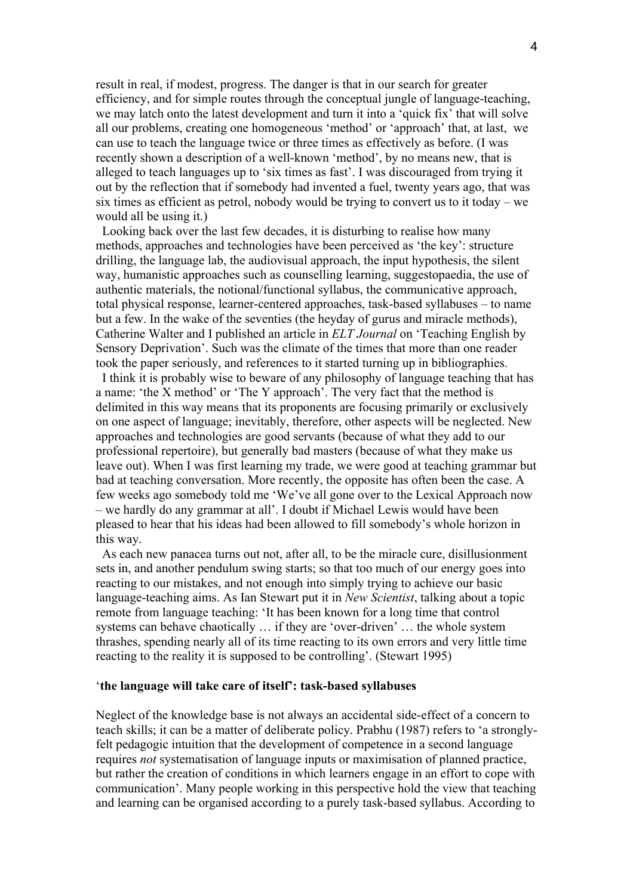result in real, if modest, progress. The danger is that in our search for greater efficiency, and for simple routes through the conceptual jungle of language-teaching, we may latch onto the latest development and turn it into a 'quick fix' that will solve all our problems, creating one homogeneous 'method' or 'approach' that, at last, we can use to teach the language twice or three times as effectively as before. (I was recently shown a description of a well-known 'method', by no means new, that is alleged to teach languages up to 'six times as fast'. I was discouraged from trying it out by the reflection that if somebody had invented a fuel, twenty years ago, that was six times as efficient as petrol, nobody would be trying to convert us to it today – we would all be using it.)

 Looking back over the last few decades, it is disturbing to realise how many methods, approaches and technologies have been perceived as 'the key': structure drilling, the language lab, the audiovisual approach, the input hypothesis, the silent way, humanistic approaches such as counselling learning, suggestopaedia, the use of authentic materials, the notional/functional syllabus, the communicative approach, total physical response, learner-centered approaches, task-based syllabuses – to name but a few. In the wake of the seventies (the heyday of gurus and miracle methods), Catherine Walter and I published an article in *ELT Journal* on 'Teaching English by Sensory Deprivation'. Such was the climate of the times that more than one reader took the paper seriously, and references to it started turning up in bibliographies.

 I think it is probably wise to beware of any philosophy of language teaching that has a name: 'the X method' or 'The Y approach'. The very fact that the method is delimited in this way means that its proponents are focusing primarily or exclusively on one aspect of language; inevitably, therefore, other aspects will be neglected. New approaches and technologies are good servants (because of what they add to our professional repertoire), but generally bad masters (because of what they make us leave out). When I was first learning my trade, we were good at teaching grammar but bad at teaching conversation. More recently, the opposite has often been the case. A few weeks ago somebody told me 'We've all gone over to the Lexical Approach now – we hardly do any grammar at all'. I doubt if Michael Lewis would have been pleased to hear that his ideas had been allowed to fill somebody's whole horizon in this way.

 As each new panacea turns out not, after all, to be the miracle cure, disillusionment sets in, and another pendulum swing starts; so that too much of our energy goes into reacting to our mistakes, and not enough into simply trying to achieve our basic language-teaching aims. As Ian Stewart put it in *New Scientist*, talking about a topic remote from language teaching: 'It has been known for a long time that control systems can behave chaotically … if they are 'over-driven' … the whole system thrashes, spending nearly all of its time reacting to its own errors and very little time reacting to the reality it is supposed to be controlling'. (Stewart 1995)

### '**the language will take care of itself': task-based syllabuses**

Neglect of the knowledge base is not always an accidental side-effect of a concern to teach skills; it can be a matter of deliberate policy. Prabhu (1987) refers to 'a stronglyfelt pedagogic intuition that the development of competence in a second language requires *not* systematisation of language inputs or maximisation of planned practice, but rather the creation of conditions in which learners engage in an effort to cope with communication'. Many people working in this perspective hold the view that teaching and learning can be organised according to a purely task-based syllabus. According to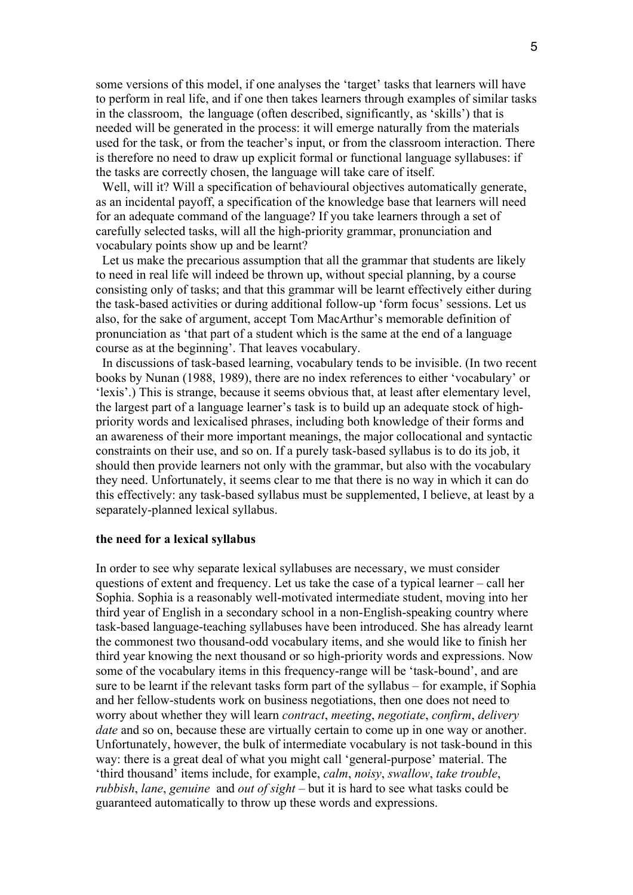some versions of this model, if one analyses the 'target' tasks that learners will have to perform in real life, and if one then takes learners through examples of similar tasks in the classroom, the language (often described, significantly, as 'skills') that is needed will be generated in the process: it will emerge naturally from the materials used for the task, or from the teacher's input, or from the classroom interaction. There is therefore no need to draw up explicit formal or functional language syllabuses: if the tasks are correctly chosen, the language will take care of itself.

Well, will it? Will a specification of behavioural objectives automatically generate, as an incidental payoff, a specification of the knowledge base that learners will need for an adequate command of the language? If you take learners through a set of carefully selected tasks, will all the high-priority grammar, pronunciation and vocabulary points show up and be learnt?

 Let us make the precarious assumption that all the grammar that students are likely to need in real life will indeed be thrown up, without special planning, by a course consisting only of tasks; and that this grammar will be learnt effectively either during the task-based activities or during additional follow-up 'form focus' sessions. Let us also, for the sake of argument, accept Tom MacArthur's memorable definition of pronunciation as 'that part of a student which is the same at the end of a language course as at the beginning'. That leaves vocabulary.

 In discussions of task-based learning, vocabulary tends to be invisible. (In two recent books by Nunan (1988, 1989), there are no index references to either 'vocabulary' or 'lexis'.) This is strange, because it seems obvious that, at least after elementary level, the largest part of a language learner's task is to build up an adequate stock of highpriority words and lexicalised phrases, including both knowledge of their forms and an awareness of their more important meanings, the major collocational and syntactic constraints on their use, and so on. If a purely task-based syllabus is to do its job, it should then provide learners not only with the grammar, but also with the vocabulary they need. Unfortunately, it seems clear to me that there is no way in which it can do this effectively: any task-based syllabus must be supplemented, I believe, at least by a separately-planned lexical syllabus.

#### **the need for a lexical syllabus**

In order to see why separate lexical syllabuses are necessary, we must consider questions of extent and frequency. Let us take the case of a typical learner – call her Sophia. Sophia is a reasonably well-motivated intermediate student, moving into her third year of English in a secondary school in a non-English-speaking country where task-based language-teaching syllabuses have been introduced. She has already learnt the commonest two thousand-odd vocabulary items, and she would like to finish her third year knowing the next thousand or so high-priority words and expressions. Now some of the vocabulary items in this frequency-range will be 'task-bound', and are sure to be learnt if the relevant tasks form part of the syllabus – for example, if Sophia and her fellow-students work on business negotiations, then one does not need to worry about whether they will learn *contract*, *meeting*, *negotiate*, *confirm*, *delivery date* and so on, because these are virtually certain to come up in one way or another. Unfortunately, however, the bulk of intermediate vocabulary is not task-bound in this way: there is a great deal of what you might call 'general-purpose' material. The 'third thousand' items include, for example, *calm*, *noisy*, *swallow*, *take trouble*, *rubbish*, *lane*, *genuine* and *out of sight* – but it is hard to see what tasks could be guaranteed automatically to throw up these words and expressions.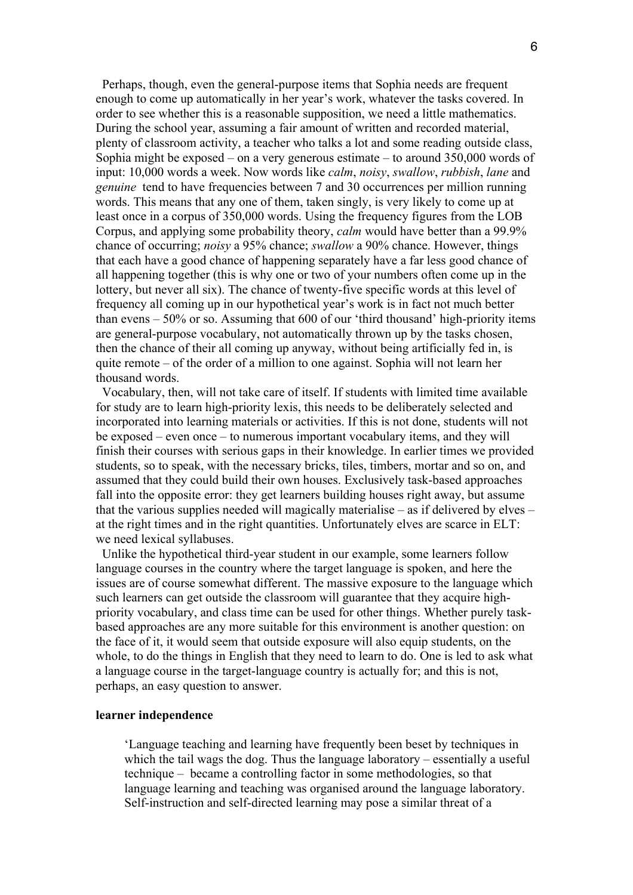Perhaps, though, even the general-purpose items that Sophia needs are frequent enough to come up automatically in her year's work, whatever the tasks covered. In order to see whether this is a reasonable supposition, we need a little mathematics. During the school year, assuming a fair amount of written and recorded material, plenty of classroom activity, a teacher who talks a lot and some reading outside class, Sophia might be exposed – on a very generous estimate – to around 350,000 words of input: 10,000 words a week. Now words like *calm*, *noisy*, *swallow*, *rubbish*, *lane* and *genuine* tend to have frequencies between 7 and 30 occurrences per million running words. This means that any one of them, taken singly, is very likely to come up at least once in a corpus of 350,000 words. Using the frequency figures from the LOB Corpus, and applying some probability theory, *calm* would have better than a 99.9% chance of occurring; *noisy* a 95% chance; *swallow* a 90% chance. However, things that each have a good chance of happening separately have a far less good chance of all happening together (this is why one or two of your numbers often come up in the lottery, but never all six). The chance of twenty-five specific words at this level of frequency all coming up in our hypothetical year's work is in fact not much better than evens – 50% or so. Assuming that 600 of our 'third thousand' high-priority items are general-purpose vocabulary, not automatically thrown up by the tasks chosen, then the chance of their all coming up anyway, without being artificially fed in, is quite remote – of the order of a million to one against. Sophia will not learn her thousand words.

 Vocabulary, then, will not take care of itself. If students with limited time available for study are to learn high-priority lexis, this needs to be deliberately selected and incorporated into learning materials or activities. If this is not done, students will not be exposed – even once – to numerous important vocabulary items, and they will finish their courses with serious gaps in their knowledge. In earlier times we provided students, so to speak, with the necessary bricks, tiles, timbers, mortar and so on, and assumed that they could build their own houses. Exclusively task-based approaches fall into the opposite error: they get learners building houses right away, but assume that the various supplies needed will magically materialise – as if delivered by elves – at the right times and in the right quantities. Unfortunately elves are scarce in ELT: we need lexical syllabuses.

 Unlike the hypothetical third-year student in our example, some learners follow language courses in the country where the target language is spoken, and here the issues are of course somewhat different. The massive exposure to the language which such learners can get outside the classroom will guarantee that they acquire highpriority vocabulary, and class time can be used for other things. Whether purely taskbased approaches are any more suitable for this environment is another question: on the face of it, it would seem that outside exposure will also equip students, on the whole, to do the things in English that they need to learn to do. One is led to ask what a language course in the target-language country is actually for; and this is not, perhaps, an easy question to answer.

# **learner independence**

'Language teaching and learning have frequently been beset by techniques in which the tail wags the dog. Thus the language laboratory – essentially a useful technique – became a controlling factor in some methodologies, so that language learning and teaching was organised around the language laboratory. Self-instruction and self-directed learning may pose a similar threat of a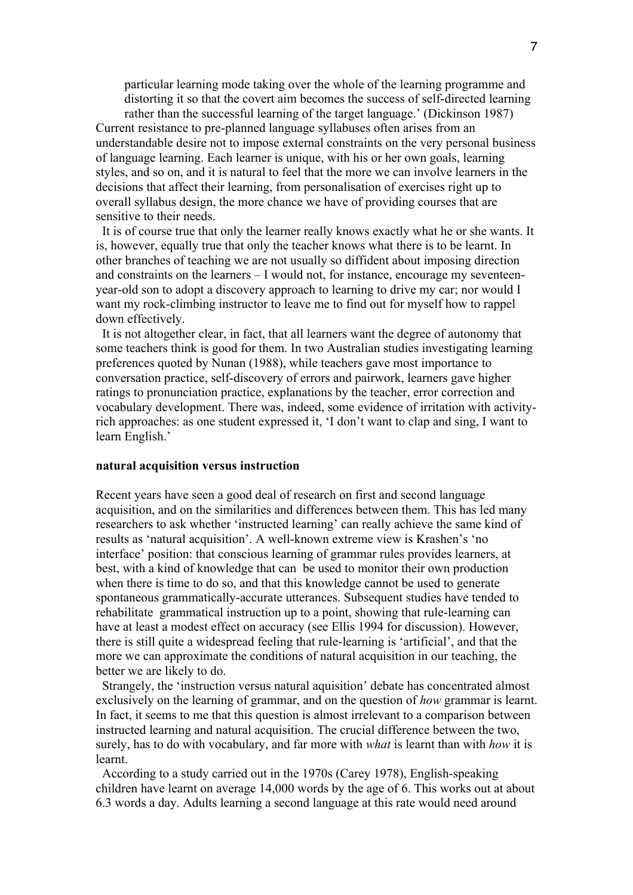particular learning mode taking over the whole of the learning programme and distorting it so that the covert aim becomes the success of self-directed learning

rather than the successful learning of the target language.' (Dickinson 1987) Current resistance to pre-planned language syllabuses often arises from an understandable desire not to impose external constraints on the very personal business of language learning. Each learner is unique, with his or her own goals, learning styles, and so on, and it is natural to feel that the more we can involve learners in the decisions that affect their learning, from personalisation of exercises right up to overall syllabus design, the more chance we have of providing courses that are sensitive to their needs.

 It is of course true that only the learner really knows exactly what he or she wants. It is, however, equally true that only the teacher knows what there is to be learnt. In other branches of teaching we are not usually so diffident about imposing direction and constraints on the learners – I would not, for instance, encourage my seventeenyear-old son to adopt a discovery approach to learning to drive my car; nor would I want my rock-climbing instructor to leave me to find out for myself how to rappel down effectively.

 It is not altogether clear, in fact, that all learners want the degree of autonomy that some teachers think is good for them. In two Australian studies investigating learning preferences quoted by Nunan (1988), while teachers gave most importance to conversation practice, self-discovery of errors and pairwork, learners gave higher ratings to pronunciation practice, explanations by the teacher, error correction and vocabulary development. There was, indeed, some evidence of irritation with activityrich approaches: as one student expressed it, 'I don't want to clap and sing, I want to learn English.'

#### **natural acquisition versus instruction**

Recent years have seen a good deal of research on first and second language acquisition, and on the similarities and differences between them. This has led many researchers to ask whether 'instructed learning' can really achieve the same kind of results as 'natural acquisition'. A well-known extreme view is Krashen's 'no interface' position: that conscious learning of grammar rules provides learners, at best, with a kind of knowledge that can be used to monitor their own production when there is time to do so, and that this knowledge cannot be used to generate spontaneous grammatically-accurate utterances. Subsequent studies have tended to rehabilitate grammatical instruction up to a point, showing that rule-learning can have at least a modest effect on accuracy (see Ellis 1994 for discussion). However, there is still quite a widespread feeling that rule-learning is 'artificial', and that the more we can approximate the conditions of natural acquisition in our teaching, the better we are likely to do.

 Strangely, the 'instruction versus natural aquisition' debate has concentrated almost exclusively on the learning of grammar, and on the question of *how* grammar is learnt. In fact, it seems to me that this question is almost irrelevant to a comparison between instructed learning and natural acquisition. The crucial difference between the two, surely, has to do with vocabulary, and far more with *what* is learnt than with *how* it is learnt.

 According to a study carried out in the 1970s (Carey 1978), English-speaking children have learnt on average 14,000 words by the age of 6. This works out at about 6.3 words a day. Adults learning a second language at this rate would need around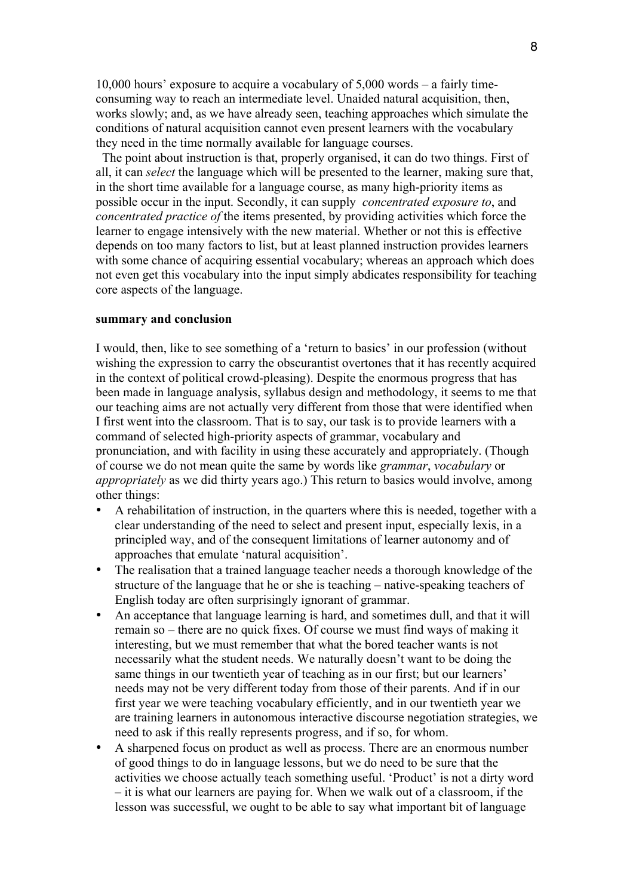10,000 hours' exposure to acquire a vocabulary of 5,000 words – a fairly timeconsuming way to reach an intermediate level. Unaided natural acquisition, then, works slowly; and, as we have already seen, teaching approaches which simulate the conditions of natural acquisition cannot even present learners with the vocabulary they need in the time normally available for language courses.

 The point about instruction is that, properly organised, it can do two things. First of all, it can *select* the language which will be presented to the learner, making sure that, in the short time available for a language course, as many high-priority items as possible occur in the input. Secondly, it can supply *concentrated exposure to*, and *concentrated practice of* the items presented, by providing activities which force the learner to engage intensively with the new material. Whether or not this is effective depends on too many factors to list, but at least planned instruction provides learners with some chance of acquiring essential vocabulary; whereas an approach which does not even get this vocabulary into the input simply abdicates responsibility for teaching core aspects of the language.

## **summary and conclusion**

I would, then, like to see something of a 'return to basics' in our profession (without wishing the expression to carry the obscurantist overtones that it has recently acquired in the context of political crowd-pleasing). Despite the enormous progress that has been made in language analysis, syllabus design and methodology, it seems to me that our teaching aims are not actually very different from those that were identified when I first went into the classroom. That is to say, our task is to provide learners with a command of selected high-priority aspects of grammar, vocabulary and pronunciation, and with facility in using these accurately and appropriately. (Though of course we do not mean quite the same by words like *grammar*, *vocabulary* or *appropriately* as we did thirty years ago.) This return to basics would involve, among other things:

- A rehabilitation of instruction, in the quarters where this is needed, together with a clear understanding of the need to select and present input, especially lexis, in a principled way, and of the consequent limitations of learner autonomy and of approaches that emulate 'natural acquisition'.
- The realisation that a trained language teacher needs a thorough knowledge of the structure of the language that he or she is teaching – native-speaking teachers of English today are often surprisingly ignorant of grammar.
- An acceptance that language learning is hard, and sometimes dull, and that it will remain so – there are no quick fixes. Of course we must find ways of making it interesting, but we must remember that what the bored teacher wants is not necessarily what the student needs. We naturally doesn't want to be doing the same things in our twentieth year of teaching as in our first; but our learners' needs may not be very different today from those of their parents. And if in our first year we were teaching vocabulary efficiently, and in our twentieth year we are training learners in autonomous interactive discourse negotiation strategies, we need to ask if this really represents progress, and if so, for whom.
- A sharpened focus on product as well as process. There are an enormous number of good things to do in language lessons, but we do need to be sure that the activities we choose actually teach something useful. 'Product' is not a dirty word – it is what our learners are paying for. When we walk out of a classroom, if the lesson was successful, we ought to be able to say what important bit of language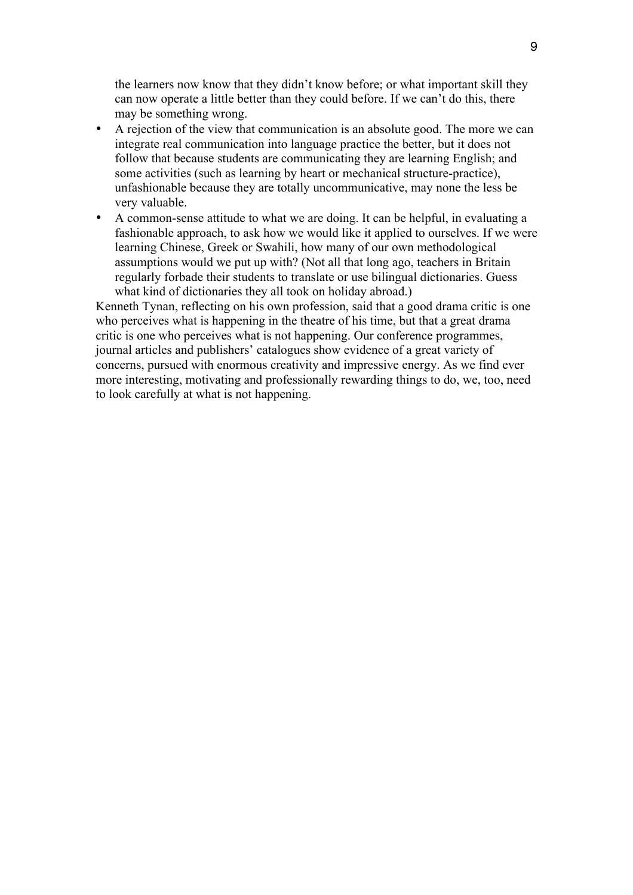the learners now know that they didn't know before; or what important skill they can now operate a little better than they could before. If we can't do this, there may be something wrong.

- A rejection of the view that communication is an absolute good. The more we can integrate real communication into language practice the better, but it does not follow that because students are communicating they are learning English; and some activities (such as learning by heart or mechanical structure-practice), unfashionable because they are totally uncommunicative, may none the less be very valuable.
- A common-sense attitude to what we are doing. It can be helpful, in evaluating a fashionable approach, to ask how we would like it applied to ourselves. If we were learning Chinese, Greek or Swahili, how many of our own methodological assumptions would we put up with? (Not all that long ago, teachers in Britain regularly forbade their students to translate or use bilingual dictionaries. Guess what kind of dictionaries they all took on holiday abroad.)

Kenneth Tynan, reflecting on his own profession, said that a good drama critic is one who perceives what is happening in the theatre of his time, but that a great drama critic is one who perceives what is not happening. Our conference programmes, journal articles and publishers' catalogues show evidence of a great variety of concerns, pursued with enormous creativity and impressive energy. As we find ever more interesting, motivating and professionally rewarding things to do, we, too, need to look carefully at what is not happening.